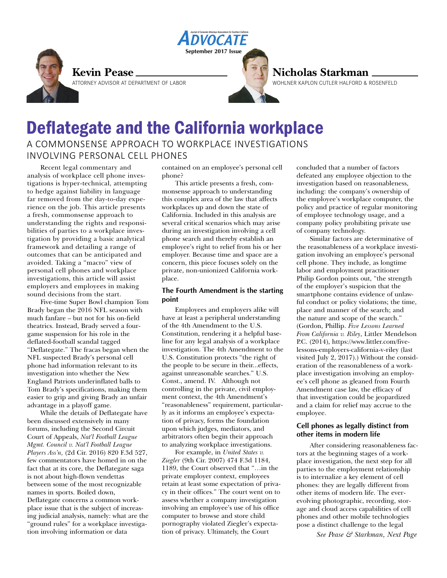

### **Kevin Pease**

ATTORNEY ADVISOR AT DEPARTMENT OF LABOR

## **Nicholas Starkman**

WOHLNER KAPLON CUTLER HALFORD & ROSENFELD

# Deflategate and the California workplace A COMMONSENSE APPROACH TO WORKPLACE INVESTIGATIONS INVOLVING PERSONAL CELL PHONES

Recent legal commentary and analysis of workplace cell phone investigations is hyper-technical, attempting to hedge against liability in language far removed from the day-to-day experience on the job. This article presents a fresh, commonsense approach to understanding the rights and responsibilities of parties to a workplace investigation by providing a basic analytical framework and detailing a range of outcomes that can be anticipated and avoided. Taking a "macro" view of personal cell phones and workplace investigations, this article will assist employers and employees in making sound decisions from the start.

Five-time Super Bowl champion Tom Brady began the 2016 NFL season with much fanfare – but not for his on-field theatrics. Instead, Brady served a fourgame suspension for his role in the deflated-football scandal tagged "Deflategate." The fracas began when the NFL suspected Brady's personal cell phone had information relevant to its investigation into whether the New England Patriots underinflated balls to Tom Brady's specifications, making them easier to grip and giving Brady an unfair advantage in a playoff game.

While the details of Deflategate have been discussed extensively in many forums, including the Second Circuit Court of Appeals, *Nat'l Football League Mgmt. Council v. Nat'l Football League Players Ass'n,* (2d Cir. 2016) 820 F.3d 527, few commentators have homed in on the fact that at its core, the Deflategate saga is not about high-flown vendettas between some of the most recognizable names in sports. Boiled down, Deflategate concerns a common workplace issue that is the subject of increasing judicial analysis, namely: what are the "ground rules" for a workplace investigation involving information or data

contained on an employee's personal cell phone?

**September 2017 Issue**

*NOCATE* 

This article presents a fresh, commonsense approach to understanding this complex area of the law that affects workplaces up and down the state of California. Included in this analysis are several critical scenarios which may arise during an investigation involving a cell phone search and thereby establish an employee's right to relief from his or her employer. Because time and space are a concern, this piece focuses solely on the private, non-unionized California workplace.

#### **The Fourth Amendment is the starting point**

Employees and employers alike will have at least a peripheral understanding of the 4th Amendment to the U.S. Constitution, rendering it a helpful baseline for any legal analysis of a workplace investigation. The 4th Amendment to the U.S. Constitution protects "the right of the people to be secure in their...effects, against unreasonable searches." U.S. Const., amend. IV. Although not controlling in the private, civil employment context, the 4th Amendment's "reasonableness" requirement, particularly as it informs an employee's expectation of privacy, forms the foundation upon which judges, mediators, and arbitrators often begin their approach to analyzing workplace investigations.

For example, in *United States v. Ziegler* (9th Cir. 2007) 474 F.3d 1184, 1189, the Court observed that "…in the private employer context, employees retain at least some expectation of privacy in their offices." The court went on to assess whether a company investigation involving an employee's use of his office computer to browse and store child pornography violated Ziegler's expectation of privacy. Ultimately, the Court

concluded that a number of factors defeated any employee objection to the investigation based on reasonableness, including: the company's ownership of the employee's workplace computer, the policy and practice of regular monitoring of employee technology usage, and a company policy prohibiting private use of company technology.

Similar factors are determinative of the reasonableness of a workplace investigation involving an employee's personal cell phone. They include, as longtime labor and employment practitioner Philip Gordon points out, "the strength of the employer's suspicion that the smartphone contains evidence of unlawful conduct or policy violations; the time, place and manner of the search; and the nature and scope of the search." (Gordon, Phillip. *Five Lessons Learned From California v. Riley*, Littler Mendelson P.C. (2014), https://www.littler.com/fivelessons-employers-california-v-riley (last visited July 2, 2017).) Without the consideration of the reasonableness of a workplace investigation involving an employee's cell phone as gleaned from Fourth Amendment case law, the efficacy of that investigation could be jeopardized and a claim for relief may accrue to the employee.

#### **Cell phones as legally distinct from other items in modern life**

After considering reasonableness factors at the beginning stages of a workplace investigation, the next step for all parties to the employment relationship is to internalize a key element of cell phones: they are legally different from other items of modern life. The everevolving photographic, recording, storage and cloud access capabilities of cell phones and other mobile technologies pose a distinct challenge to the legal

*See Pease & Starkman, Next Page*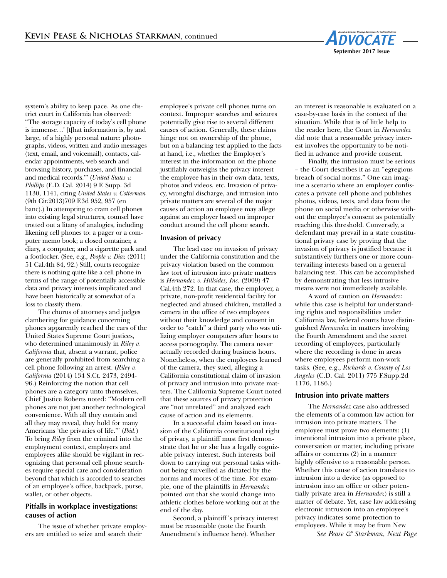

system's ability to keep pace. As one district court in California has observed: "The storage capacity of today's cell phone is immense…' [t[hat information is, by and large, of a highly personal nature: photographs, videos, written and audio messages (text, email, and voicemail), contacts, calendar appointments, web search and browsing history, purchases, and financial and medical records.'" (*United States v. Phillips* (E.D. Cal. 2014) 9 F. Supp. 3d 1130, 1141, citing *United States v. Cotterman* (9th Cir.2013)709 F.3d 952, 957 (en banc).) In attempting to cram cell phones into existing legal structures, counsel have trotted out a litany of analogies, including likening cell phones to: a pager or a computer memo book; a closed container, a diary, a computer, and a cigarette pack and a footlocker. (See, e.g*., People v. Diaz* (2011) 51 Cal.4th 84, 92.) Still, courts recognize there is nothing quite like a cell phone in terms of the range of potentially accessible data and privacy interests implicated and have been historically at somewhat of a loss to classify them.

The chorus of attorneys and judges clambering for guidance concerning phones apparently reached the ears of the United States Supreme Court justices, who determined unanimously in *Riley v. California* that, absent a warrant, police are generally prohibited from searching a cell phone following an arrest. (*Riley v. California* (2014) 134 S.Ct. 2473, 2494- 96.) Reinforcing the notion that cell phones are a category unto themselves, Chief Justice Roberts noted: "Modern cell phones are not just another technological convenience. With all they contain and all they may reveal, they hold for many Americans 'the privacies of life.'" (*Ibid.*) To bring *Riley* from the criminal into the employment context, employers and employees alike should be vigilant in recognizing that personal cell phone searches require special care and consideration beyond that which is accorded to searches of an employee's office, backpack, purse, wallet, or other objects.

#### **Pitfalls in workplace investigations: causes of action**

The issue of whether private employers are entitled to seize and search their

employee's private cell phones turns on context. Improper searches and seizures potentially give rise to several different causes of action. Generally, these claims hinge not on ownership of the phone, but on a balancing test applied to the facts at hand, i.e., whether the Employer's interest in the information on the phone justifiably outweighs the privacy interest the employee has in their own data, texts, photos and videos, etc. Invasion of privacy, wrongful discharge, and intrusion into private matters are several of the major causes of action an employee may allege against an employer based on improper conduct around the cell phone search.

#### **Invasion of privacy**

The lead case on invasion of privacy under the California constitution and the privacy violation based on the common law tort of intrusion into private matters is *Hernandez v. Hillsides, Inc.* (2009) 47 Cal.4th 272. In that case, the employer, a private, non-profit residential facility for neglected and abused children, installed a camera in the office of two employees without their knowledge and consent in order to "catch" a third party who was utilizing employer computers after hours to access pornography. The camera never actually recorded during business hours. Nonetheless, when the employees learned of the camera, they sued, alleging a California constitutional claim of invasion of privacy and intrusion into private matters. The California Supreme Court noted that these sources of privacy protection are "not unrelated" and analyzed each cause of action and its elements.

In a successful claim based on invasion of the California constitutional right of privacy, a plaintiff must first demonstrate that he or she has a legally cognizable privacy interest. Such interests boil down to carrying out personal tasks without being surveilled as dictated by the norms and mores of the time. For example, one of the plaintiffs in *Hernandez* pointed out that she would change into athletic clothes before working out at the end of the day.

Second, a plaintiff 's privacy interest must be reasonable (note the Fourth Amendment's influence here). Whether

an interest is reasonable is evaluated on a case-by-case basis in the context of the situation. While that is of little help to the reader here, the Court in *Hernandez* did note that a reasonable privacy interest involves the opportunity to be notified in advance and provide consent.

Finally, the intrusion must be serious – the Court describes it as an "egregious breach of social norms." One can imagine a scenario where an employer confiscates a private cell phone and publishes photos, videos, texts, and data from the phone on social media or otherwise without the employee's consent as potentially reaching this threshold. Conversely, a defendant may prevail in a state constitutional privacy case by proving that the invasion of privacy is justified because it substantively furthers one or more countervailing interests based on a general balancing test. This can be accomplished by demonstrating that less intrusive means were not immediately available.

A word of caution on *Hernandez*: while this case is helpful for understanding rights and responsibilities under California law, federal courts have distinguished *Hernandez* in matters involving the Fourth Amendment and the secret recording of employees, particularly where the recording is done in areas where employees perform non-work tasks. (See, e.g., *Richards v. County of Los Angeles* (C.D. Cal. 2011) 775 F.Supp.2d 1176, 1186.)

#### **Intrusion into private matters**

The *Hernandez* case also addressed the elements of a common law action for intrusion into private matters. The employee must prove two elements: (1) intentional intrusion into a private place, conversation or matter, including private affairs or concerns (2) in a manner highly offensive to a reasonable person. Whether this cause of action translates to intrusion into a device (as opposed to intrusion into an office or other potentially private area in *Hernandez*) is still a matter of debate. Yet, case law addressing electronic intrusion into an employee's privacy indicates some protection to employees. While it may be from New

*See Pease & Starkman, Next Page*